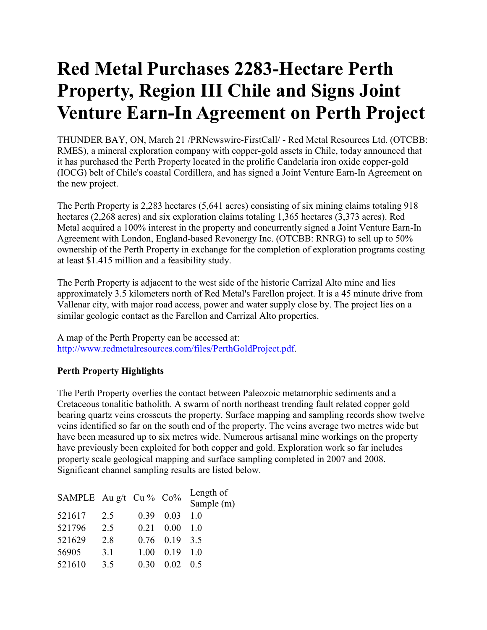# **Red Metal Purchases 2283-Hectare Perth Property, Region III Chile and Signs Joint Venture Earn-In Agreement on Perth Project**

THUNDER BAY, ON, March 21 /PRNewswire-FirstCall/ - Red Metal Resources Ltd. (OTCBB: RMES), a mineral exploration company with copper-gold assets in Chile, today announced that it has purchased the Perth Property located in the prolific Candelaria iron oxide copper-gold (IOCG) belt of Chile's coastal Cordillera, and has signed a Joint Venture Earn-In Agreement on the new project.

The Perth Property is 2,283 hectares (5,641 acres) consisting of six mining claims totaling 918 hectares (2,268 acres) and six exploration claims totaling 1,365 hectares (3,373 acres). Red Metal acquired a 100% interest in the property and concurrently signed a Joint Venture Earn-In Agreement with London, England-based Revonergy Inc. (OTCBB: RNRG) to sell up to 50% ownership of the Perth Property in exchange for the completion of exploration programs costing at least \$1.415 million and a feasibility study.

The Perth Property is adjacent to the west side of the historic Carrizal Alto mine and lies approximately 3.5 kilometers north of Red Metal's Farellon project. It is a 45 minute drive from Vallenar city, with major road access, power and water supply close by. The project lies on a similar geologic contact as the Farellon and Carrizal Alto properties.

A map of the Perth Property can be accessed at: http://www.redmetalresources.com/files/PerthGoldProject.pdf.

## **Perth Property Highlights**

The Perth Property overlies the contact between Paleozoic metamorphic sediments and a Cretaceous tonalitic batholith. A swarm of north northeast trending fault related copper gold bearing quartz veins crosscuts the property. Surface mapping and sampling records show twelve veins identified so far on the south end of the property. The veins average two metres wide but have been measured up to six metres wide. Numerous artisanal mine workings on the property have previously been exploited for both copper and gold. Exploration work so far includes property scale geological mapping and surface sampling completed in 2007 and 2008. Significant channel sampling results are listed below.

| SAMPLE Au g/t Cu % Co% |     |      |                 | Length of<br>Sample (m)             |
|------------------------|-----|------|-----------------|-------------------------------------|
| 521617                 | 2.5 | 0.39 | 0.03            | 10                                  |
| 521796                 | 2.5 | 0.21 | 0.00            | $\begin{matrix} 1 & 0 \end{matrix}$ |
| 521629                 | 2.8 |      | $0.76$ 0.19 3.5 |                                     |
| 56905                  | 3.1 | 1.00 | 0.19            | $\begin{matrix} 1 & 0 \end{matrix}$ |
| 521610                 | 3.5 | 0.30 | 0.02            | 0.5                                 |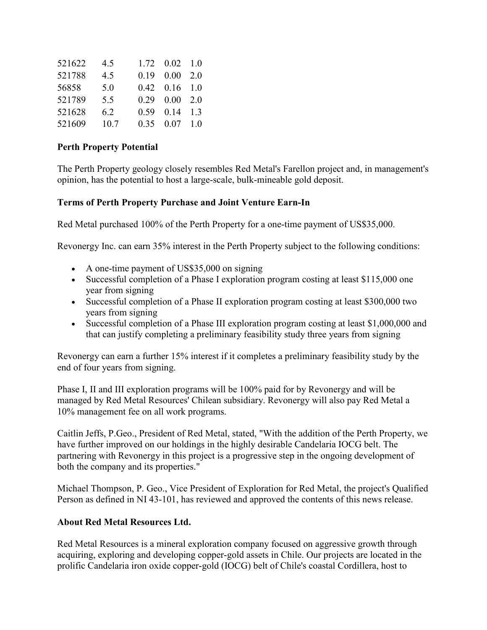| 521622 | 4.5  |      | $1.72 \quad 0.02 \quad 1.0$ |  |
|--------|------|------|-----------------------------|--|
| 521788 | 4.5  | 0.19 | $0.00\quad 2.0$             |  |
| 56858  | 5.0  |      | $0.42$ $0.16$ $1.0$         |  |
| 521789 | 5.5  |      | $0.29$ $0.00$ $2.0$         |  |
| 521628 | 6.2  | 0.59 | $0.14$ 1.3                  |  |
| 521609 | 10.7 | 0.35 | $0.07 \quad 1.0$            |  |

#### **Perth Property Potential**

The Perth Property geology closely resembles Red Metal's Farellon project and, in management's opinion, has the potential to host a large-scale, bulk-mineable gold deposit.

#### **Terms of Perth Property Purchase and Joint Venture Earn-In**

Red Metal purchased 100% of the Perth Property for a one-time payment of US\$35,000.

Revonergy Inc. can earn 35% interest in the Perth Property subject to the following conditions:

- A one-time payment of US\$35,000 on signing
- Successful completion of a Phase I exploration program costing at least \$115,000 one year from signing
- Successful completion of a Phase II exploration program costing at least \$300,000 two years from signing
- Successful completion of a Phase III exploration program costing at least \$1,000,000 and that can justify completing a preliminary feasibility study three years from signing

Revonergy can earn a further 15% interest if it completes a preliminary feasibility study by the end of four years from signing.

Phase I, II and III exploration programs will be 100% paid for by Revonergy and will be managed by Red Metal Resources' Chilean subsidiary. Revonergy will also pay Red Metal a 10% management fee on all work programs.

Caitlin Jeffs, P.Geo., President of Red Metal, stated, "With the addition of the Perth Property, we have further improved on our holdings in the highly desirable Candelaria IOCG belt. The partnering with Revonergy in this project is a progressive step in the ongoing development of both the company and its properties."

Michael Thompson, P. Geo., Vice President of Exploration for Red Metal, the project's Qualified Person as defined in NI 43-101, has reviewed and approved the contents of this news release.

### **About Red Metal Resources Ltd.**

Red Metal Resources is a mineral exploration company focused on aggressive growth through acquiring, exploring and developing copper-gold assets in Chile. Our projects are located in the prolific Candelaria iron oxide copper-gold (IOCG) belt of Chile's coastal Cordillera, host to